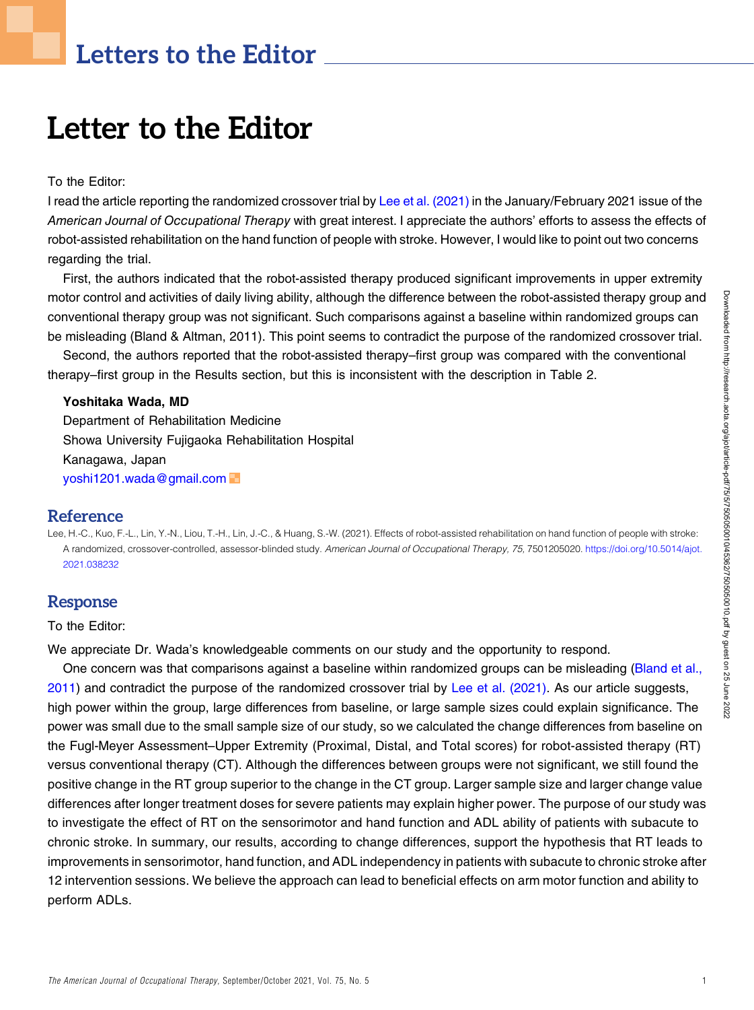# Letters to the Editor

# Letter to the Editor

#### To the Editor:

I read the article reporting the randomized crossover trial by [Lee et al. \(2021\)](#page-0-0) in the January/February 2021 issue of the American Journal of Occupational Therapy with great interest. I appreciate the authors' efforts to assess the effects of robot-assisted rehabilitation on the hand function of people with stroke. However, I would like to point out two concerns regarding the trial.

First, the authors indicated that the robot-assisted therapy produced significant improvements in upper extremity motor control and activities of daily living ability, although the difference between the robot-assisted therapy group and conventional therapy group was not significant. Such comparisons against a baseline within randomized groups can be misleading (Bland & Altman, 2011). This point seems to contradict the purpose of the randomized crossover trial.

Second, the authors reported that the robot-assisted therapy–first group was compared with the conventional therapy–first group in the Results section, but this is inconsistent with the description in Table 2.

#### Yoshitaka Wada, MD

Department of Rehabilitation Medicine Showa University Fujigaoka Rehabilitation Hospital Kanagawa, Japan [yoshi1201.wada@gmail.com](mailto:yoshi1201.wada@gmail.com)

## Reference

<span id="page-0-0"></span>Lee, H.-C., Kuo, F.-L., Lin, Y.-N., Liou, T.-H., Lin, J.-C., & Huang, S.-W. (2021). Effects of robot-assisted rehabilitation on hand function of people with stroke: A randomized, crossover-controlled, assessor-blinded study. American Journal of Occupational Therapy, 75, 7501205020. [https://doi.org/10.5014/ajot.](https://doi.org/10.5014/ajot.2021.038232) [2021.038232](https://doi.org/10.5014/ajot.2021.038232)

# Response

#### To the Editor:

We appreciate Dr. Wada's knowledgeable comments on our study and the opportunity to respond.

One concern was that comparisons against a baseline within randomized groups can be misleading ([Bland et al.,](#page-0-0) [2011](#page-0-0)) and contradict the purpose of the randomized crossover trial by [Lee et al. \(2021\)](#page-1-0). As our article suggests, high power within the group, large differences from baseline, or large sample sizes could explain significance. The power was small due to the small sample size of our study, so we calculated the change differences from baseline on the Fugl-Meyer Assessment–Upper Extremity (Proximal, Distal, and Total scores) for robot-assisted therapy (RT) versus conventional therapy (CT). Although the differences between groups were not significant, we still found the positive change in the RT group superior to the change in the CT group. Larger sample size and larger change value differences after longer treatment doses for severe patients may explain higher power. The purpose of our study was to investigate the effect of RT on the sensorimotor and hand function and ADL ability of patients with subacute to chronic stroke. In summary, our results, according to change differences, support the hypothesis that RT leads to improvements in sensorimotor, hand function, and ADL independency in patients with subacute to chronic stroke after 12 intervention sessions. We believe the approach can lead to beneficial effects on arm motor function and ability to perform ADLs.